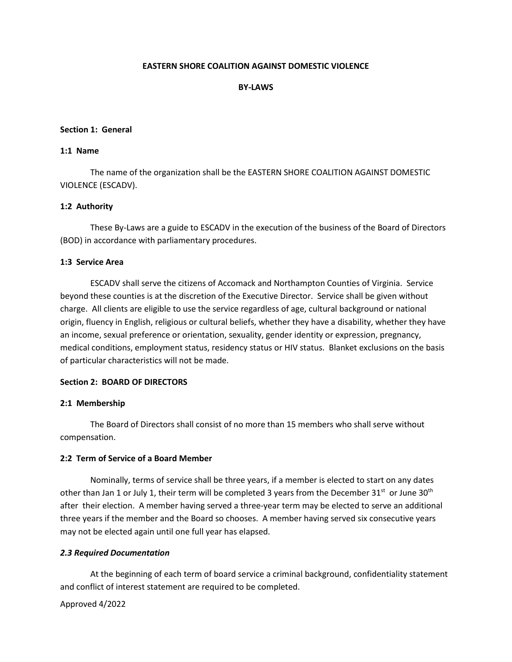# **EASTERN SHORE COALITION AGAINST DOMESTIC VIOLENCE**

## **BY-LAWS**

### **Section 1: General**

# **1:1 Name**

The name of the organization shall be the EASTERN SHORE COALITION AGAINST DOMESTIC VIOLENCE (ESCADV).

### **1:2 Authority**

These By-Laws are a guide to ESCADV in the execution of the business of the Board of Directors (BOD) in accordance with parliamentary procedures.

### **1:3 Service Area**

ESCADV shall serve the citizens of Accomack and Northampton Counties of Virginia. Service beyond these counties is at the discretion of the Executive Director. Service shall be given without charge. All clients are eligible to use the service regardless of age, cultural background or national origin, fluency in English, religious or cultural beliefs, whether they have a disability, whether they have an income, sexual preference or orientation, sexuality, gender identity or expression, pregnancy, medical conditions, employment status, residency status or HIV status. Blanket exclusions on the basis of particular characteristics will not be made.

#### **Section 2: BOARD OF DIRECTORS**

#### **2:1 Membership**

The Board of Directors shall consist of no more than 15 members who shall serve without compensation.

### **2:2 Term of Service of a Board Member**

Nominally, terms of service shall be three years, if a member is elected to start on any dates other than Jan 1 or July 1, their term will be completed 3 years from the December 31<sup>st</sup> or June 30<sup>th</sup> after their election. A member having served a three-year term may be elected to serve an additional three years if the member and the Board so chooses. A member having served six consecutive years may not be elected again until one full year has elapsed.

## *2.3 Required Documentation*

At the beginning of each term of board service a criminal background, confidentiality statement and conflict of interest statement are required to be completed.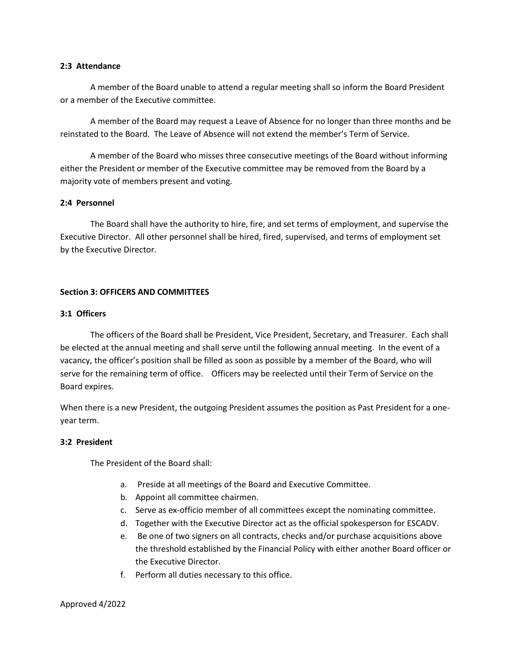### **2:3 Attendance**

A member of the Board unable to attend a regular meeting shall so inform the Board President or a member of the Executive committee.

A member of the Board may request a Leave of Absence for no longer than three months and be reinstated to the Board. The Leave of Absence will not extend the member's Term of Service.

A member of the Board who misses three consecutive meetings of the Board without informing either the President or member of the Executive committee may be removed from the Board by a majority vote of members present and voting.

## **2:4 Personnel**

The Board shall have the authority to hire, fire, and set terms of employment, and supervise the Executive Director. All other personnel shall be hired, fired, supervised, and terms of employment set by the Executive Director.

## **Section 3: OFFICERS AND COMMITTEES**

### **3:1 Officers**

The officers of the Board shall be President, Vice President, Secretary, and Treasurer. Each shall be elected at the annual meeting and shall serve until the following annual meeting. In the event of a vacancy, the officer's position shall be filled as soon as possible by a member of the Board, who will serve for the remaining term of office. Officers may be reelected until their Term of Service on the Board expires.

When there is a new President, the outgoing President assumes the position as Past President for a oneyear term.

## **3:2 President**

The President of the Board shall:

- a. Preside at all meetings of the Board and Executive Committee.
- b. Appoint all committee chairmen.
- c. Serve as ex-officio member of all committees except the nominating committee.
- d. Together with the Executive Director act as the official spokesperson for ESCADV.
- e. Be one of two signers on all contracts, checks and/or purchase acquisitions above the threshold established by the Financial Policy with either another Board officer or the Executive Director.
- f. Perform all duties necessary to this office.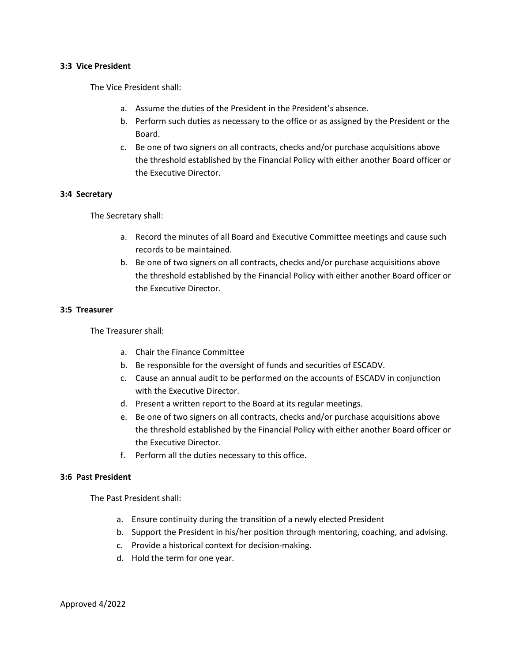## **3:3 Vice President**

The Vice President shall:

- a. Assume the duties of the President in the President's absence.
- b. Perform such duties as necessary to the office or as assigned by the President or the Board.
- c. Be one of two signers on all contracts, checks and/or purchase acquisitions above the threshold established by the Financial Policy with either another Board officer or the Executive Director.

## **3:4 Secretary**

The Secretary shall:

- a. Record the minutes of all Board and Executive Committee meetings and cause such records to be maintained.
- b. Be one of two signers on all contracts, checks and/or purchase acquisitions above the threshold established by the Financial Policy with either another Board officer or the Executive Director.

## **3:5 Treasurer**

The Treasurer shall:

- a. Chair the Finance Committee
- b. Be responsible for the oversight of funds and securities of ESCADV.
- c. Cause an annual audit to be performed on the accounts of ESCADV in conjunction with the Executive Director.
- d. Present a written report to the Board at its regular meetings.
- e. Be one of two signers on all contracts, checks and/or purchase acquisitions above the threshold established by the Financial Policy with either another Board officer or the Executive Director.
- f. Perform all the duties necessary to this office.

## **3:6 Past President**

The Past President shall:

- a. Ensure continuity during the transition of a newly elected President
- b. Support the President in his/her position through mentoring, coaching, and advising.
- c. Provide a historical context for decision-making.
- d. Hold the term for one year.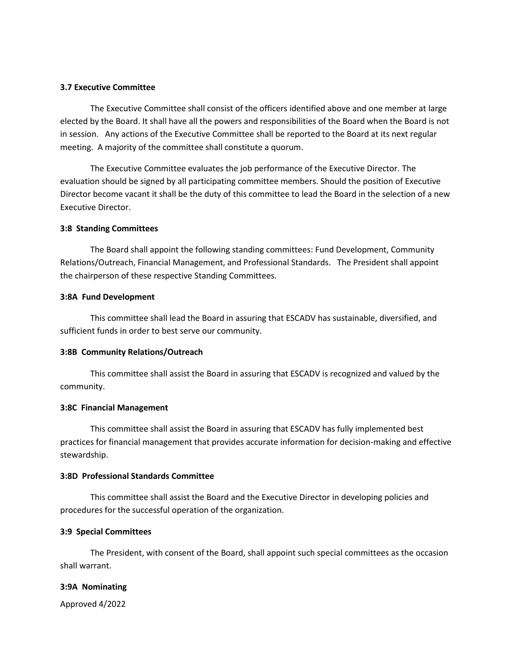# **3.7 Executive Committee**

The Executive Committee shall consist of the officers identified above and one member at large elected by the Board. It shall have all the powers and responsibilities of the Board when the Board is not in session. Any actions of the Executive Committee shall be reported to the Board at its next regular meeting. A majority of the committee shall constitute a quorum.

The Executive Committee evaluates the job performance of the Executive Director. The evaluation should be signed by all participating committee members. Should the position of Executive Director become vacant it shall be the duty of this committee to lead the Board in the selection of a new Executive Director.

### **3:8 Standing Committees**

The Board shall appoint the following standing committees: Fund Development, Community Relations/Outreach, Financial Management, and Professional Standards. The President shall appoint the chairperson of these respective Standing Committees.

#### **3:8A Fund Development**

This committee shall lead the Board in assuring that ESCADV has sustainable, diversified, and sufficient funds in order to best serve our community.

#### **3:8B Community Relations/Outreach**

This committee shall assist the Board in assuring that ESCADV is recognized and valued by the community.

#### **3:8C Financial Management**

This committee shall assist the Board in assuring that ESCADV has fully implemented best practices for financial management that provides accurate information for decision-making and effective stewardship.

## **3:8D Professional Standards Committee**

This committee shall assist the Board and the Executive Director in developing policies and procedures for the successful operation of the organization.

## **3:9 Special Committees**

The President, with consent of the Board, shall appoint such special committees as the occasion shall warrant.

## **3:9A Nominating**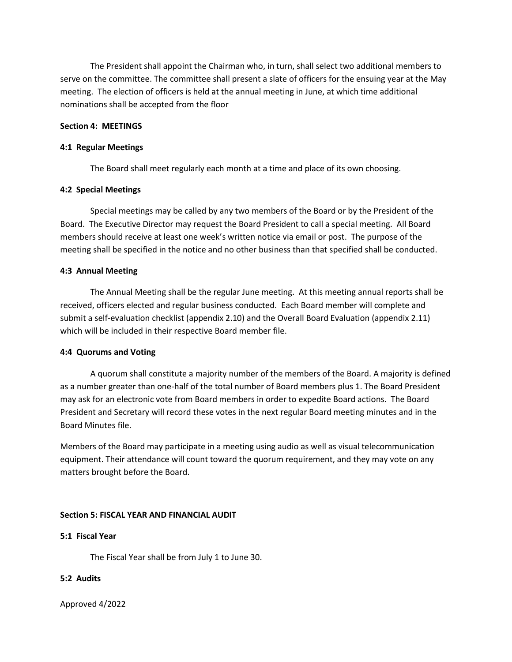The President shall appoint the Chairman who, in turn, shall select two additional members to serve on the committee. The committee shall present a slate of officers for the ensuing year at the May meeting. The election of officers is held at the annual meeting in June, at which time additional nominations shall be accepted from the floor

## **Section 4: MEETINGS**

### **4:1 Regular Meetings**

The Board shall meet regularly each month at a time and place of its own choosing.

### **4:2 Special Meetings**

Special meetings may be called by any two members of the Board or by the President of the Board. The Executive Director may request the Board President to call a special meeting. All Board members should receive at least one week's written notice via email or post. The purpose of the meeting shall be specified in the notice and no other business than that specified shall be conducted.

### **4:3 Annual Meeting**

The Annual Meeting shall be the regular June meeting. At this meeting annual reports shall be received, officers elected and regular business conducted. Each Board member will complete and submit a self-evaluation checklist (appendix 2.10) and the Overall Board Evaluation (appendix 2.11) which will be included in their respective Board member file.

#### **4:4 Quorums and Voting**

A quorum shall constitute a majority number of the members of the Board. A majority is defined as a number greater than one-half of the total number of Board members plus 1. The Board President may ask for an electronic vote from Board members in order to expedite Board actions. The Board President and Secretary will record these votes in the next regular Board meeting minutes and in the Board Minutes file.

Members of the Board may participate in a meeting using audio as well as visual telecommunication equipment. Their attendance will count toward the quorum requirement, and they may vote on any matters brought before the Board.

#### **Section 5: FISCAL YEAR AND FINANCIAL AUDIT**

#### **5:1 Fiscal Year**

The Fiscal Year shall be from July 1 to June 30.

# **5:2 Audits**